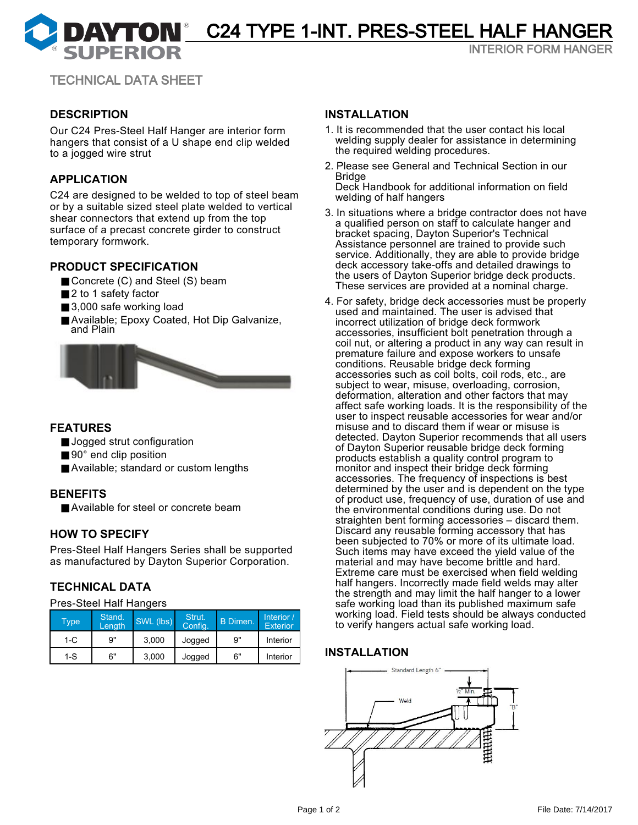**DAYTON** C24 TYPE 1-INT. PRES-STEEL HALF HANGER

INTERIOR FORM HANGER

TECHNICAL DATA SHEET

# **DESCRIPTION**

Our C24 Pres-Steel Half Hanger are interior form hangers that consist of a U shape end clip welded to a jogged wire strut

## **APPLICATION**

C24 are designed to be welded to top of steel beam or by a suitable sized steel plate welded to vertical shear connectors that extend up from the top surface of a precast concrete girder to construct temporary formwork.

# **PRODUCT SPECIFICATION**

- Concrete (C) and Steel (S) beam
- 2 to 1 safety factor
- 3,000 safe working load
- Available; Epoxy Coated, Hot Dip Galvanize, and Plain



## **FEATURES**

- Jogged strut configuration
- 90° end clip position
- Available; standard or custom lengths

# **BENEFITS**

■ Available for steel or concrete beam

## **HOW TO SPECIFY**

Pres-Steel Half Hangers Series shall be supported as manufactured by Dayton Superior Corporation.

## **TECHNICAL DATA**

Pres-Steel Half Hangers

| <b>Type</b> | Stand.<br>Length | SWL (lbs) | Strut.<br>Config. | B Dimen. | Interior /<br><b>Exterior</b> |
|-------------|------------------|-----------|-------------------|----------|-------------------------------|
| $1-C$       | 9"               | 3.000     | Jogged            | 9"       | Interior                      |
| 1-S         | 6"               | 3.000     | Jogged            | 6"       | Interior                      |

### **INSTALLATION**

- 1. It is recommended that the user contact his local welding supply dealer for assistance in determining the required welding procedures.
- 2. Please see General and Technical Section in our Bridge

Deck Handbook for additional information on field welding of half hangers

- 3. In situations where a bridge contractor does not have a qualified person on staff to calculate hanger and bracket spacing, Dayton Superior's Technical Assistance personnel are trained to provide such service. Additionally, they are able to provide bridge deck accessory take-offs and detailed drawings to the users of Dayton Superior bridge deck products. These services are provided at a nominal charge.
- 4. For safety, bridge deck accessories must be properly used and maintained. The user is advised that incorrect utilization of bridge deck formwork accessories, insufficient bolt penetration through a coil nut, or altering a product in any way can result in premature failure and expose workers to unsafe conditions. Reusable bridge deck forming accessories such as coil bolts, coil rods, etc., are subject to wear, misuse, overloading, corrosion, deformation, alteration and other factors that may affect safe working loads. It is the responsibility of the user to inspect reusable accessories for wear and/or misuse and to discard them if wear or misuse is detected. Dayton Superior recommends that all users of Dayton Superior reusable bridge deck forming products establish a quality control program to monitor and inspect their bridge deck forming accessories. The frequency of inspections is best determined by the user and is dependent on the type of product use, frequency of use, duration of use and the environmental conditions during use. Do not straighten bent forming accessories – discard them. Discard any reusable forming accessory that has been subjected to 70% or more of its ultimate load. Such items may have exceed the yield value of the material and may have become brittle and hard. Extreme care must be exercised when field welding half hangers. Incorrectly made field welds may alter the strength and may limit the half hanger to a lower safe working load than its published maximum safe working load. Field tests should be always conducted to verify hangers actual safe working load.

## **INSTALLATION**